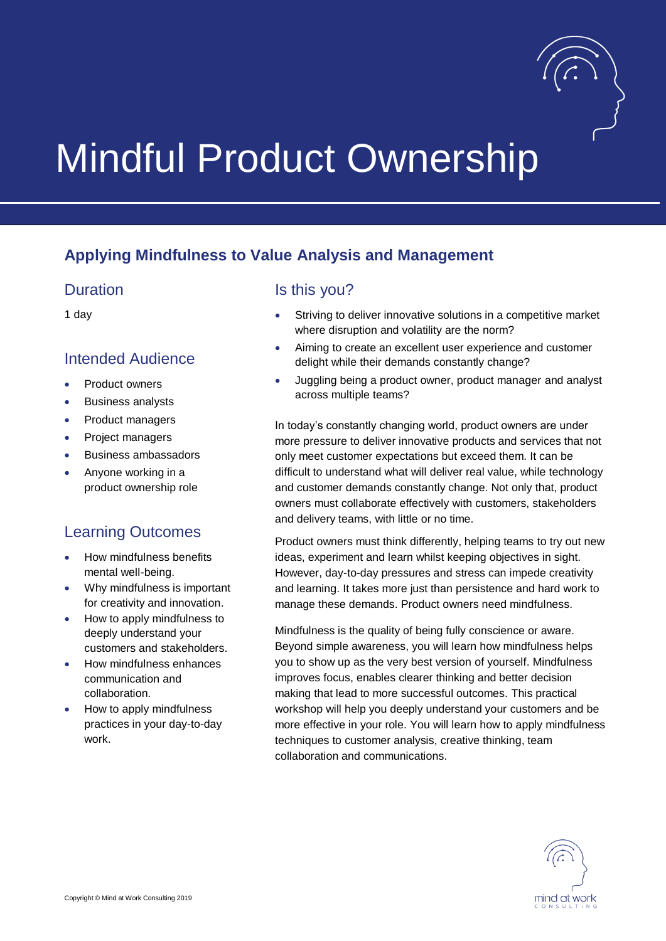

# Mindful Product Ownership

# **Applying Mindfulness to Value Analysis and Management**

#### Duration

1 day

#### Intended Audience

- Product owners
- Business analysts
- Product managers
- Project managers
- Business ambassadors
- Anyone working in a product ownership role

# Learning Outcomes

- How mindfulness benefits mental well-being.
- Why mindfulness is important for creativity and innovation.
- How to apply mindfulness to deeply understand your customers and stakeholders.
- How mindfulness enhances communication and collaboration.
- How to apply mindfulness practices in your day-to-day work.

#### Is this you?

- Striving to deliver innovative solutions in a competitive market where disruption and volatility are the norm?
- Aiming to create an excellent user experience and customer delight while their demands constantly change?
- Juggling being a product owner, product manager and analyst across multiple teams?

In today's constantly changing world, product owners are under more pressure to deliver innovative products and services that not only meet customer expectations but exceed them. It can be difficult to understand what will deliver real value, while technology and customer demands constantly change. Not only that, product owners must collaborate effectively with customers, stakeholders and delivery teams, with little or no time.

Product owners must think differently, helping teams to try out new ideas, experiment and learn whilst keeping objectives in sight. However, day-to-day pressures and stress can impede creativity and learning. It takes more just than persistence and hard work to manage these demands. Product owners need mindfulness.

Mindfulness is the quality of being fully conscience or aware. Beyond simple awareness, you will learn how mindfulness helps you to show up as the very best version of yourself. Mindfulness improves focus, enables clearer thinking and better decision making that lead to more successful outcomes. This practical workshop will help you deeply understand your customers and be more effective in your role. You will learn how to apply mindfulness techniques to customer analysis, creative thinking, team collaboration and communications.